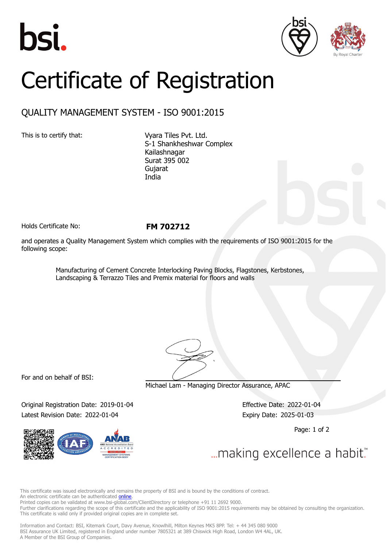





## Certificate of Registration

## QUALITY MANAGEMENT SYSTEM - ISO 9001:2015

This is to certify that: Vyara Tiles Pvt. Ltd. S-1 Shankheshwar Complex Kailashnagar Surat 395 002 Gujarat India

Holds Certificate No: **FM 702712**

and operates a Quality Management System which complies with the requirements of ISO 9001:2015 for the following scope:

> Manufacturing of Cement Concrete Interlocking Paving Blocks, Flagstones, Kerbstones, Landscaping & Terrazzo Tiles and Premix material for floors and walls

For and on behalf of BSI:

Michael Lam - Managing Director Assurance, APAC

Original Registration Date: 2019-01-04 Effective Date: 2022-01-04 Latest Revision Date: 2022-01-04 Expiry Date: 2025-01-03



Page: 1 of 2

... making excellence a habit.

This certificate was issued electronically and remains the property of BSI and is bound by the conditions of contract. An electronic certificate can be authenticated **[online](https://pgplus.bsigroup.com/CertificateValidation/CertificateValidator.aspx?CertificateNumber=FM+702712&ReIssueDate=04%2f01%2f2022&Template=india_en)** Printed copies can be validated at www.bsi-global.com/ClientDirectory or telephone +91 11 2692 9000.

Further clarifications regarding the scope of this certificate and the applicability of ISO 9001:2015 requirements may be obtained by consulting the organization. This certificate is valid only if provided original copies are in complete set.

Information and Contact: BSI, Kitemark Court, Davy Avenue, Knowlhill, Milton Keynes MK5 8PP. Tel: + 44 345 080 9000 BSI Assurance UK Limited, registered in England under number 7805321 at 389 Chiswick High Road, London W4 4AL, UK. A Member of the BSI Group of Companies.